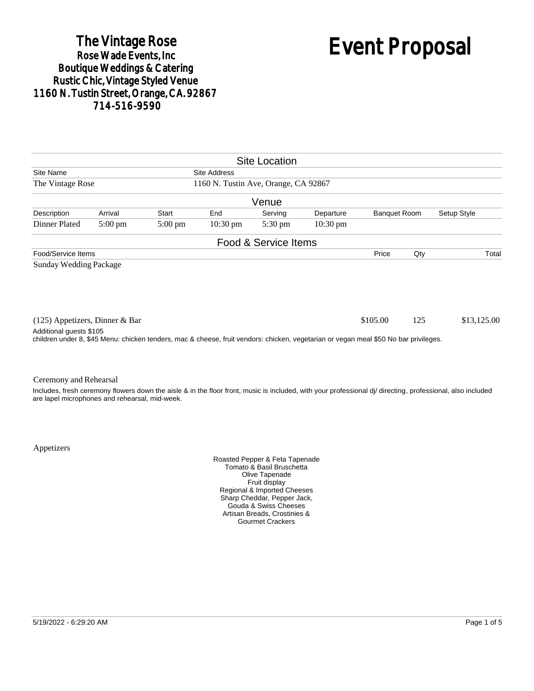# The Vintage Rose<br>Rose Wade Events, Inc. Boutique Weddings & Catering<br>Rustic Chic, Vintage Styled Venue 1160 N. Tustin Street, Orange, CA. 92867 714-516-9590

# Event Proposal

|                                                          |                   |                                                                                                                                      |                    | <b>Site Location</b> |                    |                     |     |                                                                                                                                                            |  |
|----------------------------------------------------------|-------------------|--------------------------------------------------------------------------------------------------------------------------------------|--------------------|----------------------|--------------------|---------------------|-----|------------------------------------------------------------------------------------------------------------------------------------------------------------|--|
| Site Name<br>Site Address                                |                   |                                                                                                                                      |                    |                      |                    |                     |     |                                                                                                                                                            |  |
| The Vintage Rose<br>1160 N. Tustin Ave, Orange, CA 92867 |                   |                                                                                                                                      |                    |                      |                    |                     |     |                                                                                                                                                            |  |
|                                                          |                   |                                                                                                                                      |                    | Venue                |                    |                     |     |                                                                                                                                                            |  |
| Description                                              | Arrival           | Start                                                                                                                                | End                | Serving              | Departure          | <b>Banquet Room</b> |     | Setup Style                                                                                                                                                |  |
| Dinner Plated                                            | $5:00 \text{ pm}$ | $5:00 \text{ pm}$                                                                                                                    | $10:30 \text{ pm}$ | $5:30 \text{ pm}$    | $10:30 \text{ pm}$ |                     |     |                                                                                                                                                            |  |
|                                                          |                   |                                                                                                                                      |                    | Food & Service Items |                    |                     |     |                                                                                                                                                            |  |
| Food/Service Items                                       |                   |                                                                                                                                      |                    |                      |                    | Price               | Qty | Total                                                                                                                                                      |  |
| $(125)$ Appetizers, Dinner & Bar                         |                   |                                                                                                                                      |                    |                      |                    | \$105.00            | 125 | \$13,125.00                                                                                                                                                |  |
| Additional guests \$105                                  |                   | children under 8, \$45 Menu: chicken tenders, mac & cheese, fruit vendors: chicken, vegetarian or vegan meal \$50 No bar privileges. |                    |                      |                    |                     |     |                                                                                                                                                            |  |
| Ceremony and Rehearsal                                   |                   |                                                                                                                                      |                    |                      |                    |                     |     |                                                                                                                                                            |  |
| are lapel microphones and rehearsal, mid-week.           |                   |                                                                                                                                      |                    |                      |                    |                     |     | Includes, fresh ceremony flowers down the aisle & in the floor front, music is included, with your professional di/ directing, professional, also included |  |

Appetizers

Roasted Pepper & Feta Tapenade Tomato & Basil Bruschetta Olive Tapenade Fruit display Regional & Imported Cheeses Sharp Cheddar, Pepper Jack, Gouda & Swiss Cheeses Artisan Breads, Crostinies & Gourmet Crackers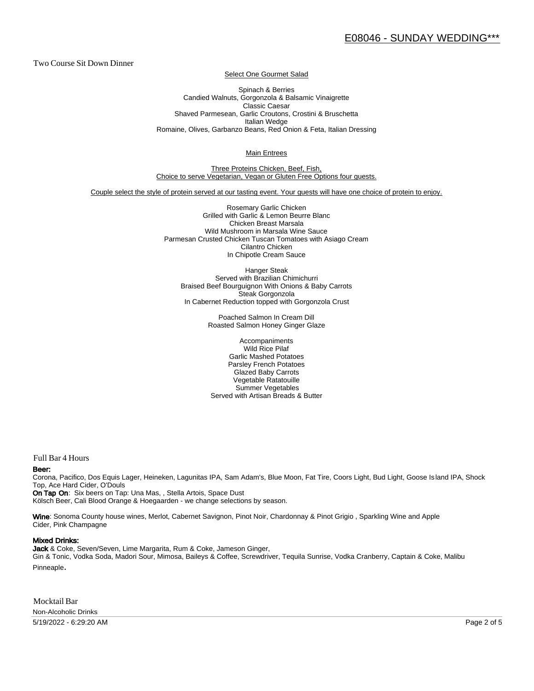Two Course Sit Down Dinner

Select One Gourmet Salad

Spinach & Berries Candied Walnuts, Gorgonzola & Balsamic Vinaigrette Classic Caesar Shaved Parmesean, Garlic Croutons, Crostini & Bruschetta Italian Wedge Romaine, Olives, Garbanzo Beans, Red Onion & Feta, Italian Dressing

Main Entrees

Three Proteins Chicken, Beef, Fish, Choice to serve Vegetarian, Vegan or Gluten Free Options four guests.

Couple select the style of protein served at our tasting event. Your guests will have one choice of protein to enjoy.

Rosemary Garlic Chicken Grilled with Garlic & Lemon Beurre Blanc Chicken Breast Marsala Wild Mushroom in Marsala Wine Sauce Parmesan Crusted Chicken Tuscan Tomatoes with Asiago Cream Cilantro Chicken In Chipotle Cream Sauce

Hanger Steak Served with Brazilian Chimichurri Braised Beef Bourguignon With Onions & Baby Carrots Steak Gorgonzola In Cabernet Reduction topped with Gorgonzola Crust

> Poached Salmon In Cream Dill Roasted Salmon Honey Ginger Glaze

Accompaniments Wild Rice Pilaf Garlic Mashed Potatoes Parsley French Potatoes Glazed Baby Carrots Vegetable Ratatouille Summer Vegetables Served with Artisan Breads & Butter

Full Bar 4 Hours

#### Beer:

Corona, Pacifico, Dos Equis Lager, Heineken, Lagunitas IPA, Sam Adam's, Blue Moon, Fat Tire, Coors Light, Bud Light, Goose Is land IPA, Shock Top, Ace Hard Cider, O'Douls

On Tap On: Six beers on Tap: Una Mas, , Stella Artois, Space Dust Kölsch Beer, Cali Blood Orange & Hoegaarden - we change selections by season.

Wine: Sonoma County house wines, Merlot, Cabernet Savignon, Pinot Noir, Chardonnay & Pinot Grigio, Sparkling Wine and Apple Cider, Pink Champagne

#### Mixed Drinks:

Jack & Coke, Seven/Seven, Lime Margarita, Rum & Coke, Jameson Ginger, Gin & Tonic, Vodka Soda, Madori Sour, Mimosa, Baileys & Coffee, Screwdriver, Tequila Sunrise, Vodka Cranberry, Captain & Coke, Malibu Pinneaple.

Mocktail Bar Non-Alcoholic Drinks

5/19/2022 - 6:29:20 AM Page 2 of 5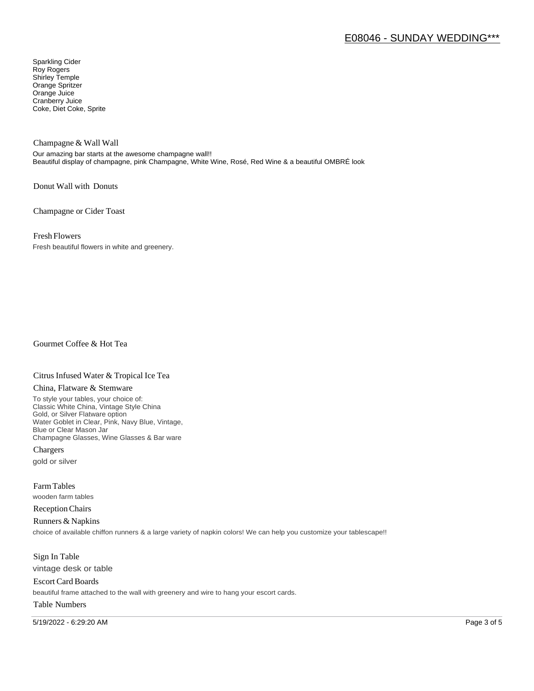# E08046 - SUNDAY WEDDING\*\*\*

Sparkling Cider Roy Rogers Shirley Temple Orange Spritzer Orange Juice Cranberry Juice Coke, Diet Coke, Sprite

Champagne & Wall Wall

Our amazing bar starts at the awesome champagne wall!! Beautiful display of champagne, pink Champagne, White Wine, Rosé, Red Wine & a beautiful OMBRÉ look

Donut Wall with Donuts

Champagne or Cider Toast

Fresh Flowers

Fresh beautiful flowers in white and greenery.

Gourmet Coffee & Hot Tea

### Citrus Infused Water & Tropical Ice Tea

#### China, Flatware & Stemware

To style your tables, your choice of: Classic White China, Vintage Style China Gold, or Silver Flatware option Water Goblet in Clear, Pink, Navy Blue, Vintage, Blue or Clear Mason Jar Champagne Glasses, Wine Glasses & Bar ware

Chargers gold or silver

Farm Tables wooden farm tables

Reception Chairs

Runners & Napkins choice of available chiffon runners & a large variety of napkin colors! We can help you customize your tablescape!!

Sign In Table vintage desk or table

Escort Card Boards beautiful frame attached to the wall with greenery and wire to hang your escort cards.

#### Table Numbers

5/19/2022 - 6:29:20 AM Page 3 of 5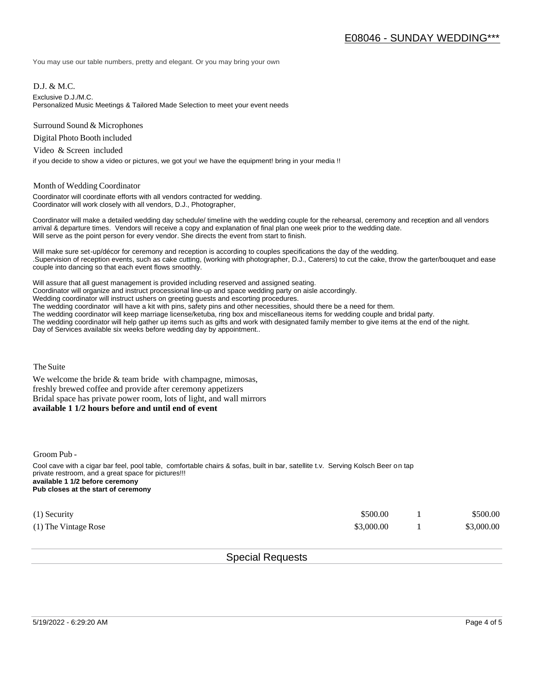You may use our table numbers, pretty and elegant. Or you may bring your own

D.J. & M.C.

Exclusive D.J./M.C.

Personalized Music Meetings & Tailored Made Selection to meet your event needs

Surround Sound & Microphones

Digital Photo Booth included

Video & Screen included

if you decide to show a video or pictures, we got you! we have the equipment! bring in your media !!

#### Month of Wedding Coordinator

Coordinator will coordinate efforts with all vendors contracted for wedding. Coordinator will work closely with all vendors, D.J., Photographer,

Coordinator will make a detailed wedding day schedule/ timeline with the wedding couple for the rehearsal, ceremony and reception and all vendors arrival & departure times. Vendors will receive a copy and explanation of final plan one week prior to the wedding date. Will serve as the point person for every vendor. She directs the event from start to finish.

Will make sure set-up/décor for ceremony and reception is according to couples specifications the day of the wedding. .Supervision of reception events, such as cake cutting, (working with photographer, D.J., Caterers) to cut the cake, throw the garter/bouquet and ease couple into dancing so that each event flows smoothly.

Will assure that all guest management is provided including reserved and assigned seating. Coordinator will organize and instruct processional line-up and space wedding party on aisle accordingly. Wedding coordinator will instruct ushers on greeting guests and escorting procedures. The wedding coordinator will have a kit with pins, safety pins and other necessities, should there be a need for them. The wedding coordinator will keep marriage license/ketuba, ring box and miscellaneous items for wedding couple and bridal party. The wedding coordinator will help gather up items such as gifts and work with designated family member to give items at the end of the night. Day of Services available six weeks before wedding day by appointment..

The Suite

We welcome the bride  $&$  team bride with champagne, mimosas, freshly brewed coffee and provide after ceremony appetizers Bridal space has private power room, lots of light, and wall mirrors **available 1 1/2 hours before and until end of event** 

Groom Pub -

Cool cave with a cigar bar feel, pool table, comfortable chairs & sofas, built in bar, satellite t.v. Serving Kolsch Beer on tap private restroom, and a great space for pictures!!! **available 1 1/2 before ceremony Pub closes at the start of ceremony**

| $(1)$ Security       | \$500.00   | \$500.00   |
|----------------------|------------|------------|
| (1) The Vintage Rose | \$3,000.00 | \$3,000.00 |

## Special Requests